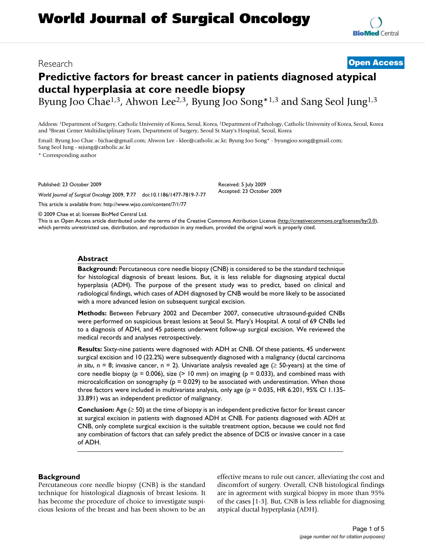# **World Journal of Surgical Oncology**

## **Predictive factors for breast cancer in patients diagnosed atypical ductal hyperplasia at core needle biopsy**

Byung Joo Chae<sup>1,3</sup>, Ahwon Lee<sup>2,3</sup>, Byung Joo Song<sup>\*1,3</sup> and Sang Seol Jung<sup>1,3</sup>

Address: 1Department of Surgery, Catholic University of Korea, Seoul, Korea, 2Department of Pathology, Catholic University of Korea, Seoul, Korea and 3Breast Center Multidisciplinary Team, Department of Surgery, Seoul St Mary's Hospital, Seoul, Korea

Email: Byung Joo Chae - bjchae@gmail.com; Ahwon Lee - klee@catholic.ac.kr; Byung Joo Song\* - byungjoo.song@gmail.com; Sang Seol Jung - ssjung@catholic.ac.kr

\* Corresponding author

Published: 23 October 2009

*World Journal of Surgical Oncology* 2009, **7**:77 doi:10.1186/1477-7819-7-77

[This article is available from: http://www.wjso.com/content/7/1/77](http://www.wjso.com/content/7/1/77)

© 2009 Chae et al; licensee BioMed Central Ltd.

This is an Open Access article distributed under the terms of the Creative Commons Attribution License [\(http://creativecommons.org/licenses/by/2.0\)](http://creativecommons.org/licenses/by/2.0), which permits unrestricted use, distribution, and reproduction in any medium, provided the original work is properly cited.

Received: 5 July 2009 Accepted: 23 October 2009

#### **Abstract**

**Background:** Percutaneous core needle biopsy (CNB) is considered to be the standard technique for histological diagnosis of breast lesions. But, it is less reliable for diagnosing atypical ductal hyperplasia (ADH). The purpose of the present study was to predict, based on clinical and radiological findings, which cases of ADH diagnosed by CNB would be more likely to be associated with a more advanced lesion on subsequent surgical excision.

**Methods:** Between February 2002 and December 2007, consecutive ultrasound-guided CNBs were performed on suspicious breast lesions at Seoul St. Mary's Hospital. A total of 69 CNBs led to a diagnosis of ADH, and 45 patients underwent follow-up surgical excision. We reviewed the medical records and analyses retrospectively.

**Results:** Sixty-nine patients were diagnosed with ADH at CNB. Of these patients, 45 underwent surgical excision and 10 (22.2%) were subsequently diagnosed with a malignancy (ductal carcinoma *in situ*,  $n = 8$ ; invasive cancer,  $n = 2$ ). Univariate analysis revealed age ( $\geq$  50-years) at the time of core needle biopsy ( $p = 0.006$ ), size (> 10 mm) on imaging ( $p = 0.033$ ), and combined mass with microcalcification on sonography ( $p = 0.029$ ) to be associated with underestimation. When those three factors were included in multivariate analysis, only age (p = 0.035, HR 6.201, 95% CI 1.135- 33.891) was an independent predictor of malignancy.

**Conclusion:** Age  $( \geq 50)$  at the time of biopsy is an independent predictive factor for breast cancer at surgical excision in patients with diagnosed ADH at CNB. For patients diagnosed with ADH at CNB, only complete surgical excision is the suitable treatment option, because we could not find any combination of factors that can safely predict the absence of DCIS or invasive cancer in a case of ADH.

#### **Background**

Percutaneous core needle biopsy (CNB) is the standard technique for histological diagnosis of breast lesions. It has become the procedure of choice to investigate suspicious lesions of the breast and has been shown to be an effective means to rule out cancer, alleviating the cost and discomfort of surgery. Overall, CNB histological findings are in agreement with surgical biopsy in more than 95% of the cases [1-3]. But, CNB is less reliable for diagnosing atypical ductal hyperplasia (ADH).



### Research **[Open Access](http://www.biomedcentral.com/info/about/charter/)**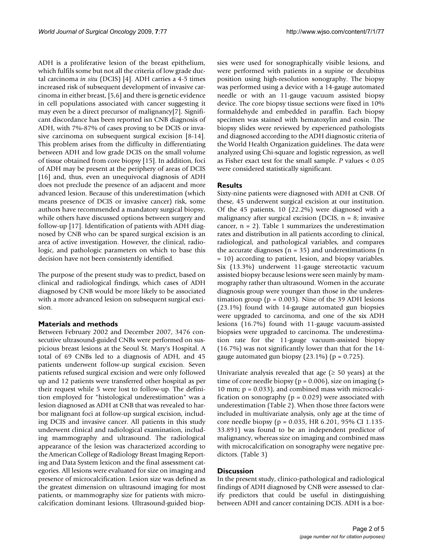ADH is a proliferative lesion of the breast epithelium, which fulfils some but not all the criteria of low grade ductal carcinoma *in situ* (DCIS) [4]. ADH carries a 4-5 times increased risk of subsequent development of invasive carcinoma in either breast, [5,6] and there is genetic evidence in cell populations associated with cancer suggesting it may even be a direct precursor of malignancy[7]. Significant discordance has been reported isn CNB diagnosis of ADH, with 7%-87% of cases proving to be DCIS or invasive carcinoma on subsequent surgical excision [8-14]. This problem arises from the difficulty in differentiating between ADH and low grade DCIS on the small volume of tissue obtained from core biopsy [15]. In addition, foci of ADH may be present at the periphery of areas of DCIS [16] and, thus, even an unequivocal diagnosis of ADH does not preclude the presence of an adjacent and more advanced lesion. Because of this underestimation (which means presence of DCIS or invasive cancer) risk, some authors have recommended a mandatory surgical biopsy, while others have discussed options between surgery and follow-up [17]. Identification of patients with ADH diagnosed by CNB who can be spared surgical excision is an area of active investigation. However, the clinical, radiologic, and pathologic parameters on which to base this decision have not been consistently identified.

The purpose of the present study was to predict, based on clinical and radiological findings, which cases of ADH diagnosed by CNB would be more likely to be associated with a more advanced lesion on subsequent surgical excision.

#### **Materials and methods**

Between February 2002 and December 2007, 3476 consecutive ultrasound-guided CNBs were performed on suspicious breast lesions at the Seoul St. Mary's Hospital. A total of 69 CNBs led to a diagnosis of ADH, and 45 patients underwent follow-up surgical excision. Seven patients refused surgical excision and were only followed up and 12 patients were transferred other hospital as per their request while 5 were lost to follow-up. The definition employed for "histological underestimation" was a lesion diagnosed as ADH at CNB that was revealed to harbor malignant foci at follow-up surgical excision, including DCIS and invasive cancer. All patients in this study underwent clinical and radiological examination, including mammography and ultrasound. The radiological appearance of the lesion was characterized according to the American College of Radiology Breast Imaging Reporting and Data System lexicon and the final assessment categories. All lesions were evaluated for size on imaging and presence of microcalcification. Lesion size was defined as the greatest dimension on ultrasound imaging for most patients, or mammography size for patients with microcalcification dominant lesions. Ultrasound-guided biopsies were used for sonographically visible lesions, and were performed with patients in a supine or decubitus position using high-resolution sonography. The biopsy was performed using a device with a 14-gauge automated needle or with an 11-gauge vacuum assisted biopsy device. The core biopsy tissue sections were fixed in 10% formaldehyde and embedded in paraffin. Each biopsy specimen was stained with hematoxylin and eosin. The biopsy slides were reviewed by experienced pathologists and diagnosed according to the ADH diagnostic criteria of the World Health Organization guidelines. The data were analyzed using Chi-square and logistic regression, as well as Fisher exact test for the small sample. *P* values < 0.05 were considered statistically significant.

#### **Results**

Sixty-nine patients were diagnosed with ADH at CNB. Of these, 45 underwent surgical excision at our institution. Of the 45 patients, 10 (22.2%) were diagnosed with a malignancy after surgical excision (DCIS,  $n = 8$ ; invasive cancer,  $n = 2$ ). Table 1 summarizes the underestimation rates and distribution in all patients according to clinical, radiological, and pathological variables, and compares the accurate diagnoses  $(n = 35)$  and underestimations  $(n = 15)$ = 10) according to patient, lesion, and biopsy variables. Six (13.3%) underwent 11-gauge stereotactic vacuum assisted biopsy because lesions were seen mainly by mammography rather than ultrasound. Women in the accurate diagnosis group were younger than those in the underestimation group ( $p = 0.003$ ). Nine of the 39 ADH lesions (23.1%) found with 14-gauge automated gun biopsies were upgraded to carcinoma, and one of the six ADH lesions (16.7%) found with 11-gauge vacuum-assisted biopsies were upgraded to carcinoma. The underestimation rate for the 11-gauge vacuum-assisted biopsy (16.7%) was not significantly lower than that for the 14 gauge automated gun biopsy  $(23.1\%)$  (p = 0.725).

Univariate analysis revealed that age ( $\geq$  50 years) at the time of core needle biopsy ( $p = 0.006$ ), size on imaging ( $>$ 10 mm;  $p = 0.033$ , and combined mass with microcalcification on sonography ( $p = 0.029$ ) were associated with underestimation (Table 2). When those three factors were included in multivariate analysis, only age at the time of core needle biopsy (p = 0.035, HR 6.201, 95% CI 1.135- 33.891) was found to be an independent predictor of malignancy, whereas size on imaging and combined mass with microcalcification on sonography were negative predictors. (Table 3)

#### **Discussion**

In the present study, clinico-pathological and radiological findings of ADH diagnosed by CNB were assessed to clarify predictors that could be useful in distinguishing between ADH and cancer containing DCIS. ADH is a bor-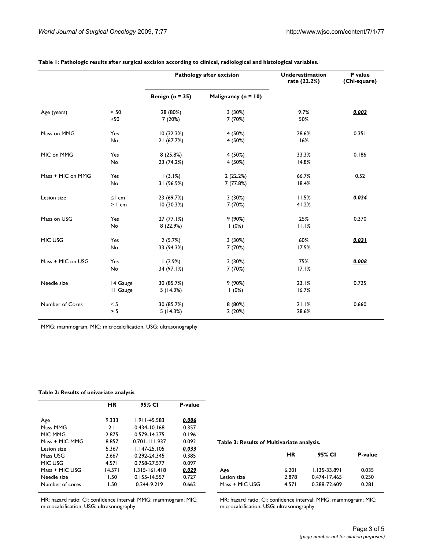|                   |             | Pathology after excision |                         | <b>Underestimation</b><br>rate (22.2%) | P value<br>(Chi-square) |
|-------------------|-------------|--------------------------|-------------------------|----------------------------------------|-------------------------|
|                   |             | Benign $(n = 35)$        | Malignancy ( $n = 10$ ) |                                        |                         |
| Age (years)       | < 50        | 28 (80%)                 | 3(30%)                  | 9.7%                                   | 0.003                   |
|                   | $\geq 50$   | 7(20%)                   | 7(70%)                  | 50%                                    |                         |
| Mass on MMG       | Yes         | 10 (32.3%)               | 4 (50%)                 | 28.6%                                  | 0.351                   |
|                   | No          | 21 (67.7%)               | 4 (50%)                 | 16%                                    |                         |
| MIC on MMG        | Yes         | 8 (25.8%)                | 4 (50%)                 | 33.3%                                  | 0.186                   |
|                   | No          | 23 (74.2%)               | 4 (50%)                 | 14.8%                                  |                         |
| Mass + MIC on MMG | Yes         | (3.1%)                   | 2(22.2%)                | 66.7%                                  | 0.52                    |
|                   | No          | 31 (96.9%)               | 7(77.8%)                | 18.4%                                  |                         |
| Lesion size       | $\leq$   cm | 23 (69.7%)               | 3(30%)                  | 11.5%                                  | 0.024                   |
|                   | $> 1$ cm    | 10(30.3%)                | 7(70%)                  | 41.2%                                  |                         |
| Mass on USG       | Yes         | 27 (77.1%)               | 9(90%)                  | 25%                                    | 0.370                   |
|                   | No          | 8 (22.9%)                | 1(0%)                   | 11.1%                                  |                         |
| MIC USG           | Yes         | 2(5.7%)                  | 3(30%)                  | 60%                                    | 0.031                   |
|                   | No          | 33 (94.3%)               | 7 (70%)                 | 17.5%                                  |                         |
| Mass + MIC on USG | Yes         | (2.9%)                   | 3(30%)                  | 75%                                    | 0.008                   |
|                   | No          | 34 (97.1%)               | 7 (70%)                 | 17.1%                                  |                         |
| Needle size       | 14 Gauge    | 30 (85.7%)               | 9(90%)                  | 23.1%                                  | 0.725                   |
|                   | II Gauge    | 5(14.3%)                 | 1(0%)                   | 16.7%                                  |                         |
| Number of Cores   | $\leq$ 5    | 30 (85.7%)               | 8 (80%)                 | 21.1%                                  | 0.660                   |
|                   | > 5         | 5(14.3%)                 | 2(20%)                  | 28.6%                                  |                         |

#### **Table 1: Pathologic results after surgical excision according to clinical, radiological and histological variables.**

MMG: mammogram, MIC: microcalcification, USG: ultrasonography

#### **Table 2: Results of univariate analysis**

| <b>HR</b> | 95% CI        | P-value |
|-----------|---------------|---------|
| 9.333     | 1.911-45.583  | 0.006   |
| 2.1       | 0.434-10.168  | 0.357   |
| 2.875     | 0.579-14.275  | 0.196   |
| 8.857     | 0.701-111.937 | 0.092   |
| 5.367     | 1.147-25.105  | 0.033   |
| 2.667     | 0.292-24.345  | 0.385   |
| 4.571     | 0.758-27.577  | 0.097   |
| 14.571    | 1.315-161.418 | 0.029   |
| 1.50      | 0.155-14.557  | 0.727   |
| 1.50      | 0.244-9.219   | 0.662   |
|           |               |         |

HR: hazard ratio; CI: confidence interval; MMG: mammogram; MIC: microcalcification; USG: ultrasonography

#### **Table 3: Results of Multivariate analysis.**

|                | HR    | 95% CI           | P-value |
|----------------|-------|------------------|---------|
| Age            | 6.201 | $1.135 - 33.891$ | 0.035   |
| Lesion size    | 2.878 | 0.474-17.465     | 0.250   |
| Mass + MIC USG | 4.571 | 0.288-72.609     | 0.281   |

HR: hazard ratio; CI: confidence interval; MMG: mammogram; MIC: microcalcification; USG: ultrasonography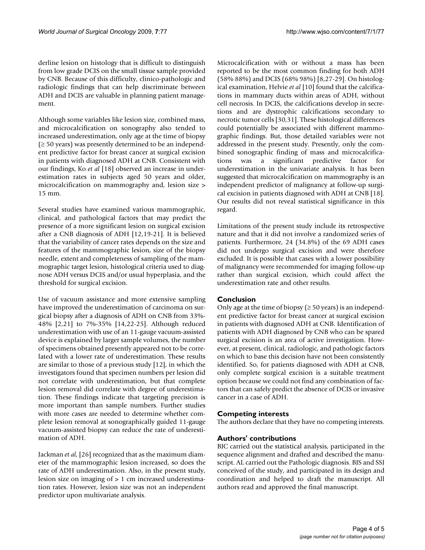derline lesion on histology that is difficult to distinguish from low grade DCIS on the small tissue sample provided by CNB. Because of this difficulty, clinico-pathologic and radiologic findings that can help discriminate between ADH and DCIS are valuable in planning patient management.

Although some variables like lesion size, combined mass, and microcalcification on sonography also tended to increased underestimation, only age at the time of biopsy  $( \geq 50 \text{ years})$  was presently determined to be an independent predictive factor for breast cancer at surgical excision in patients with diagnosed ADH at CNB. Consistent with our findings, Ko *et al* [18] observed an increase in underestimation rates in subjects aged 50 years and older, microcalcification on mammography and, lesion size > 15 mm.

Several studies have examined various mammographic, clinical, and pathological factors that may predict the presence of a more significant lesion on surgical excision after a CNB diagnosis of ADH [12,19-21]. It is believed that the variability of cancer rates depends on the size and features of the mammographic lesion, size of the biopsy needle, extent and completeness of sampling of the mammographic target lesion, histological criteria used to diagnose ADH versus DCIS and/or usual hyperplasia, and the threshold for surgical excision.

Use of vacuum assistance and more extensive sampling have improved the underestimation of carcinoma on surgical biopsy after a diagnosis of ADH on CNB from 33%- 48% [2,21] to 7%-35% [14,22-25]. Although reduced underestimation with use of an 11-gauge vacuum-assisted device is explained by larger sample volumes, the number of specimens obtained presently appeared not to be correlated with a lower rate of underestimation. These results are similar to those of a previous study [12], in which the investigators found that specimen numbers per lesion did not correlate with underestimation, but that complete lesion removal did correlate with degree of underestimation. These findings indicate that targeting precision is more important than sample numbers. Further studies with more cases are needed to determine whether complete lesion removal at sonographically guided 11-gauge vacuum-assisted biopsy can reduce the rate of underestimation of ADH.

Jackman *et al*, [26] recognized that as the maximum diameter of the mammographic lesion increased, so does the rate of ADH underestimation. Also, in the present study, lesion size on imaging of > 1 cm increased underestimation rates. However, lesion size was not an independent predictor upon multivariate analysis.

Microcalcification with or without a mass has been reported to be the most common finding for both ADH (58% 88%) and DCIS (68% 98%) [8,27-29]. On histological examination, Helvie *et al* [10] found that the calcifications in mammary ducts within areas of ADH, without cell necrosis. In DCIS, the calcifications develop in secretions and are dystrophic calcifications secondary to necrotic tumor cells [30,31]. These histological differences could potentially be associated with different mammographic findings. But, those detailed variables were not addressed in the present study. Presently, only the combined sonographic finding of mass and microcalcifications was a significant predictive factor for underestimation in the univariate analysis. It has been suggested that microcalcification on mammography is an independent predictor of malignancy at follow-up surgical excision in patients diagnosed with ADH at CNB [18]. Our results did not reveal statistical significance in this regard.

Limitations of the present study include its retrospective nature and that it did not involve a randomized series of patients. Furthermore, 24 (34.8%) of the 69 ADH cases did not undergo surgical excision and were therefore excluded. It is possible that cases with a lower possibility of malignancy were recommended for imaging follow-up rather than surgical excision, which could affect the underestimation rate and other results.

#### **Conclusion**

Only age at the time of biopsy ( $\geq 50$  years) is an independent predictive factor for breast cancer at surgical excision in patients with diagnosed ADH at CNB. Identification of patients with ADH diagnosed by CNB who can be spared surgical excision is an area of active investigation. However, at present, clinical, radiologic, and pathologic factors on which to base this decision have not been consistently identified. So, for patients diagnosed with ADH at CNB, only complete surgical excision is a suitable treatment option because we could not find any combination of factors that can safely predict the absence of DCIS or invasive cancer in a case of ADH.

#### **Competing interests**

The authors declare that they have no competing interests.

#### **Authors' contributions**

BJC carried out the statistical analysis, participated in the sequence alignment and drafted and described the manuscript. AL carried out the Pathologic diagnosis. BJS and SSJ conceived of the study, and participated in its design and coordination and helped to draft the manuscript. All authors read and approved the final manuscript.